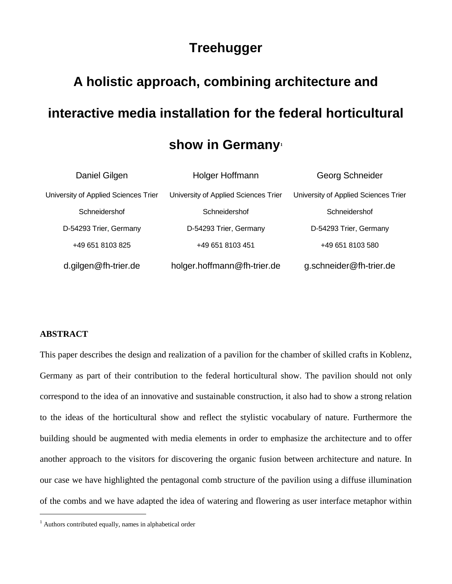# **Treehugger**

# **A holistic approach, combining architecture and interactive media installation for the federal horticultural**

# **show in Germany[1](#page-0-0)**

| Daniel Gilgen                        | Holger Hoffmann                      | Georg Schneider                      |
|--------------------------------------|--------------------------------------|--------------------------------------|
| University of Applied Sciences Trier | University of Applied Sciences Trier | University of Applied Sciences Trier |
| Schneidershof                        | Schneidershof                        | Schneidershof                        |
| D-54293 Trier, Germany               | D-54293 Trier, Germany               | D-54293 Trier, Germany               |
| +49 651 8103 825                     | +49 651 8103 451                     | +49 651 8103 580                     |
| d.gilgen@fh-trier.de                 | holger.hoffmann@fh-trier.de          | g.schneider@fh-trier.de              |

# **ABSTRACT**

 $\overline{a}$ 

This paper describes the design and realization of a pavilion for the chamber of skilled crafts in Koblenz, Germany as part of their contribution to the federal horticultural show. The pavilion should not only correspond to the idea of an innovative and sustainable construction, it also had to show a strong relation to the ideas of the horticultural show and reflect the stylistic vocabulary of nature. Furthermore the building should be augmented with media elements in order to emphasize the architecture and to offer another approach to the visitors for discovering the organic fusion between architecture and nature. In our case we have highlighted the pentagonal comb structure of the pavilion using a diffuse illumination of the combs and we have adapted the idea of watering and flowering as user interface metaphor within

<span id="page-0-0"></span><sup>&</sup>lt;sup>1</sup> Authors contributed equally, names in alphabetical order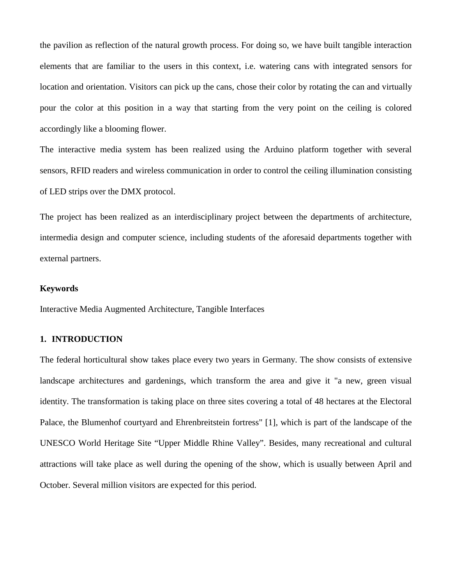the pavilion as reflection of the natural growth process. For doing so, we have built tangible interaction elements that are familiar to the users in this context, i.e. watering cans with integrated sensors for location and orientation. Visitors can pick up the cans, chose their color by rotating the can and virtually pour the color at this position in a way that starting from the very point on the ceiling is colored accordingly like a blooming flower.

The interactive media system has been realized using the Arduino platform together with several sensors, RFID readers and wireless communication in order to control the ceiling illumination consisting of LED strips over the DMX protocol.

The project has been realized as an interdisciplinary project between the departments of architecture, intermedia design and computer science, including students of the aforesaid departments together with external partners.

# **Keywords**

Interactive Media Augmented Architecture, Tangible Interfaces

# **1. INTRODUCTION**

The federal horticultural show takes place every two years in Germany. The show consists of extensive landscape architectures and gardenings, which transform the area and give it "a new, green visual identity. The transformation is taking place on three sites covering a total of 48 hectares at the Electoral Palace, the Blumenhof courtyard and Ehrenbreitstein fortress" [\[1\],](#page-15-0) which is part of the landscape of the UNESCO World Heritage Site "Upper Middle Rhine Valley". Besides, many recreational and cultural attractions will take place as well during the opening of the show, which is usually between April and October. Several million visitors are expected for this period.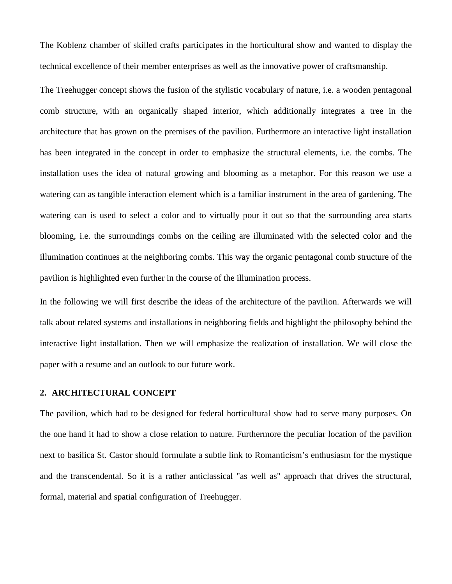The Koblenz chamber of skilled crafts participates in the horticultural show and wanted to display the technical excellence of their member enterprises as well as the innovative power of craftsmanship.

The Treehugger concept shows the fusion of the stylistic vocabulary of nature, i.e. a wooden pentagonal comb structure, with an organically shaped interior, which additionally integrates a tree in the architecture that has grown on the premises of the pavilion. Furthermore an interactive light installation has been integrated in the concept in order to emphasize the structural elements, i.e. the combs. The installation uses the idea of natural growing and blooming as a metaphor. For this reason we use a watering can as tangible interaction element which is a familiar instrument in the area of gardening. The watering can is used to select a color and to virtually pour it out so that the surrounding area starts blooming, i.e. the surroundings combs on the ceiling are illuminated with the selected color and the illumination continues at the neighboring combs. This way the organic pentagonal comb structure of the pavilion is highlighted even further in the course of the illumination process.

In the following we will first describe the ideas of the architecture of the pavilion. Afterwards we will talk about related systems and installations in neighboring fields and highlight the philosophy behind the interactive light installation. Then we will emphasize the realization of installation. We will close the paper with a resume and an outlook to our future work.

#### **2. ARCHITECTURAL CONCEPT**

The pavilion, which had to be designed for federal horticultural show had to serve many purposes. On the one hand it had to show a close relation to nature. Furthermore the peculiar location of the pavilion next to basilica St. Castor should formulate a subtle link to Romanticism's enthusiasm for the mystique and the transcendental. So it is a rather anticlassical "as well as" approach that drives the structural, formal, material and spatial configuration of Treehugger.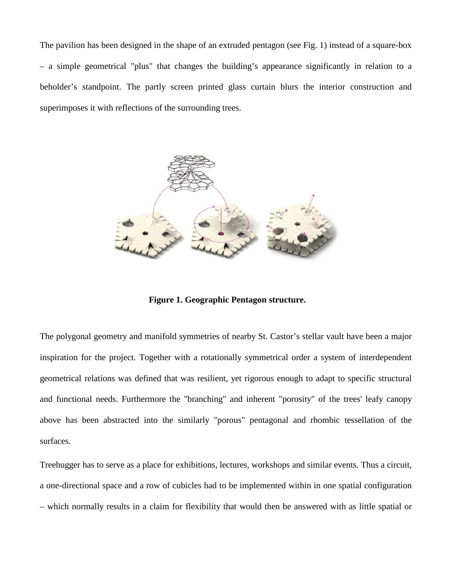The pavilion has been designed in the shape of an extruded pentagon (see Fig. 1) instead of a square-box – a simple geometrical "plus" that changes the building's appearance significantly in relation to a beholder's standpoint. The partly screen printed glass curtain blurs the interior construction and superimposes it with reflections of the surrounding trees.



**Figure 1. Geographic Pentagon structure.**

The polygonal geometry and manifold symmetries of nearby St. Castor's stellar vault have been a major inspiration for the project. Together with a rotationally symmetrical order a system of interdependent geometrical relations was defined that was resilient, yet rigorous enough to adapt to specific structural and functional needs. Furthermore the "branching" and inherent "porosity" of the trees' leafy canopy above has been abstracted into the similarly "porous" pentagonal and rhombic tessellation of the surfaces.

Treehugger has to serve as a place for exhibitions, lectures, workshops and similar events. Thus a circuit, a one-directional space and a row of cubicles had to be implemented within in one spatial configuration – which normally results in a claim for flexibility that would then be answered with as little spatial or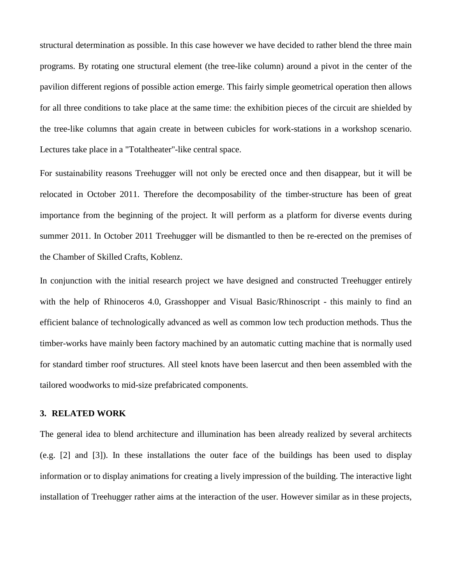structural determination as possible. In this case however we have decided to rather blend the three main programs. By rotating one structural element (the tree-like column) around a pivot in the center of the pavilion different regions of possible action emerge. This fairly simple geometrical operation then allows for all three conditions to take place at the same time: the exhibition pieces of the circuit are shielded by the tree-like columns that again create in between cubicles for work-stations in a workshop scenario. Lectures take place in a "Totaltheater"-like central space.

For sustainability reasons Treehugger will not only be erected once and then disappear, but it will be relocated in October 2011. Therefore the decomposability of the timber-structure has been of great importance from the beginning of the project. It will perform as a platform for diverse events during summer 2011. In October 2011 Treehugger will be dismantled to then be re-erected on the premises of the Chamber of Skilled Crafts, Koblenz.

In conjunction with the initial research project we have designed and constructed Treehugger entirely with the help of Rhinoceros 4.0, Grasshopper and Visual Basic/Rhinoscript - this mainly to find an efficient balance of technologically advanced as well as common low tech production methods. Thus the timber-works have mainly been factory machined by an automatic cutting machine that is normally used for standard timber roof structures. All steel knots have been lasercut and then been assembled with the tailored woodworks to mid-size prefabricated components.

# **3. RELATED WORK**

The general idea to blend architecture and illumination has been already realized by several architects (e.g. [\[2\]](#page-16-0) and [\[3\]\)](#page-16-1). In these installations the outer face of the buildings has been used to display information or to display animations for creating a lively impression of the building. The interactive light installation of Treehugger rather aims at the interaction of the user. However similar as in these projects,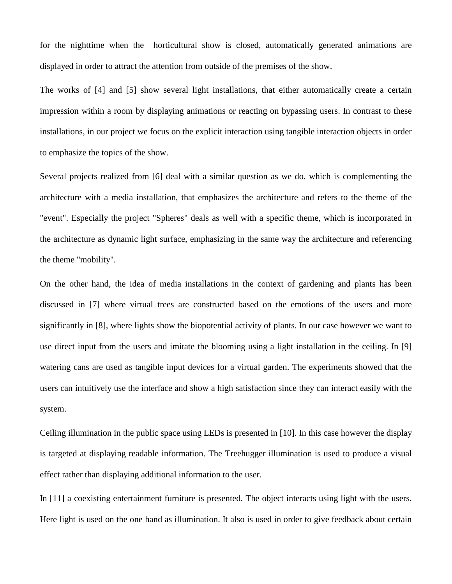for the nighttime when the horticultural show is closed, automatically generated animations are displayed in order to attract the attention from outside of the premises of the show.

The works of [\[4\]](#page-16-2) and [\[5\]](#page-16-3) show several light installations, that either automatically create a certain impression within a room by displaying animations or reacting on bypassing users. In contrast to these installations, in our project we focus on the explicit interaction using tangible interaction objects in order to emphasize the topics of the show.

Several projects realized from [\[6\]](#page-16-4) deal with a similar question as we do, which is complementing the architecture with a media installation, that emphasizes the architecture and refers to the theme of the "event". Especially the project "Spheres" deals as well with a specific theme, which is incorporated in the architecture as dynamic light surface, emphasizing in the same way the architecture and referencing the theme "mobility".

On the other hand, the idea of media installations in the context of gardening and plants has been discussed in [\[7\]](#page-16-5) where virtual trees are constructed based on the emotions of the users and more significantly in [\[8\],](#page-16-6) where lights show the biopotential activity of plants. In our case however we want to use direct input from the users and imitate the blooming using a light installation in the ceiling. In [\[9\]](#page-16-7) watering cans are used as tangible input devices for a virtual garden. The experiments showed that the users can intuitively use the interface and show a high satisfaction since they can interact easily with the system.

Ceiling illumination in the public space using LEDs is presented in [\[10\].](#page-16-8) In this case however the display is targeted at displaying readable information. The Treehugger illumination is used to produce a visual effect rather than displaying additional information to the user.

In [\[11\]](#page-16-9) a coexisting entertainment furniture is presented. The object interacts using light with the users. Here light is used on the one hand as illumination. It also is used in order to give feedback about certain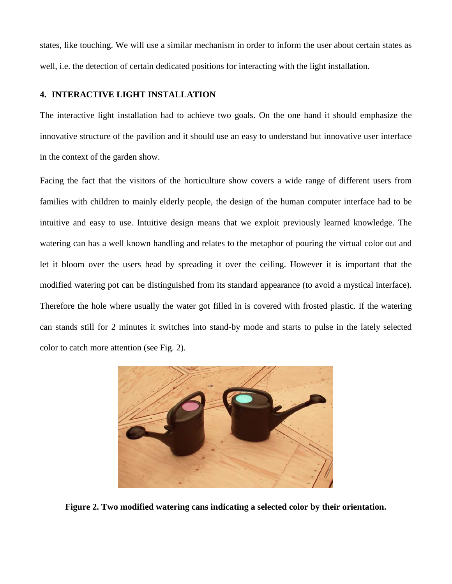states, like touching. We will use a similar mechanism in order to inform the user about certain states as well, i.e. the detection of certain dedicated positions for interacting with the light installation.

# **4. INTERACTIVE LIGHT INSTALLATION**

The interactive light installation had to achieve two goals. On the one hand it should emphasize the innovative structure of the pavilion and it should use an easy to understand but innovative user interface in the context of the garden show.

Facing the fact that the visitors of the horticulture show covers a wide range of different users from families with children to mainly elderly people, the design of the human computer interface had to be intuitive and easy to use. Intuitive design means that we exploit previously learned knowledge. The watering can has a well known handling and relates to the metaphor of pouring the virtual color out and let it bloom over the users head by spreading it over the ceiling. However it is important that the modified watering pot can be distinguished from its standard appearance (to avoid a mystical interface). Therefore the hole where usually the water got filled in is covered with frosted plastic. If the watering can stands still for 2 minutes it switches into stand-by mode and starts to pulse in the lately selected color to catch more attention (see Fig. 2).



**Figure 2. Two modified watering cans indicating a selected color by their orientation.**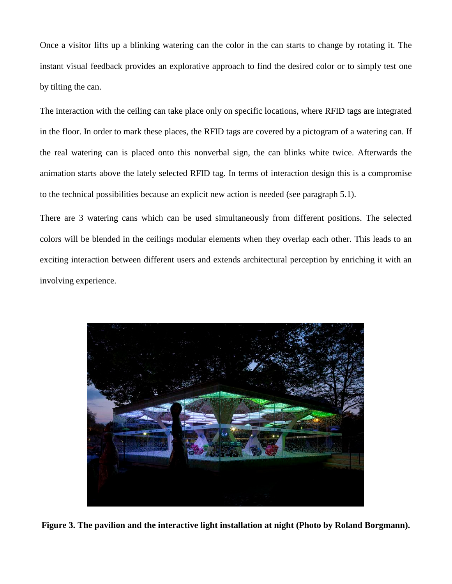Once a visitor lifts up a blinking watering can the color in the can starts to change by rotating it. The instant visual feedback provides an explorative approach to find the desired color or to simply test one by tilting the can.

The interaction with the ceiling can take place only on specific locations, where RFID tags are integrated in the floor. In order to mark these places, the RFID tags are covered by a pictogram of a watering can. If the real watering can is placed onto this nonverbal sign, the can blinks white twice. Afterwards the animation starts above the lately selected RFID tag. In terms of interaction design this is a compromise to the technical possibilities because an explicit new action is needed (see paragraph [5.1\)](#page-9-0).

There are 3 watering cans which can be used simultaneously from different positions. The selected colors will be blended in the ceilings modular elements when they overlap each other. This leads to an exciting interaction between different users and extends architectural perception by enriching it with an involving experience.



**Figure 3. The pavilion and the interactive light installation at night (Photo by Roland Borgmann).**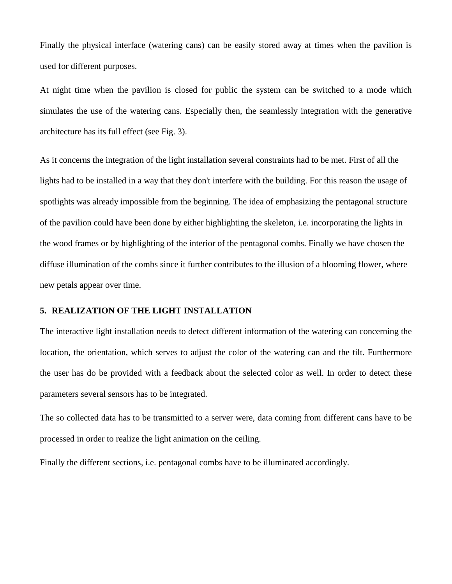Finally the physical interface (watering cans) can be easily stored away at times when the pavilion is used for different purposes.

At night time when the pavilion is closed for public the system can be switched to a mode which simulates the use of the watering cans. Especially then, the seamlessly integration with the generative architecture has its full effect (see Fig. 3).

As it concerns the integration of the light installation several constraints had to be met. First of all the lights had to be installed in a way that they don't interfere with the building. For this reason the usage of spotlights was already impossible from the beginning. The idea of emphasizing the pentagonal structure of the pavilion could have been done by either highlighting the skeleton, i.e. incorporating the lights in the wood frames or by highlighting of the interior of the pentagonal combs. Finally we have chosen the diffuse illumination of the combs since it further contributes to the illusion of a blooming flower, where new petals appear over time.

## **5. REALIZATION OF THE LIGHT INSTALLATION**

The interactive light installation needs to detect different information of the watering can concerning the location, the orientation, which serves to adjust the color of the watering can and the tilt. Furthermore the user has do be provided with a feedback about the selected color as well. In order to detect these parameters several sensors has to be integrated.

The so collected data has to be transmitted to a server were, data coming from different cans have to be processed in order to realize the light animation on the ceiling.

Finally the different sections, i.e. pentagonal combs have to be illuminated accordingly.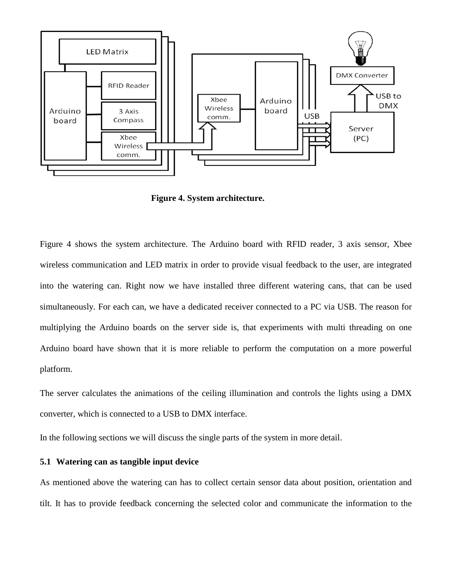

**Figure 4. System architecture.**

Figure 4 shows the system architecture. The Arduino board with RFID reader, 3 axis sensor, Xbee wireless communication and LED matrix in order to provide visual feedback to the user, are integrated into the watering can. Right now we have installed three different watering cans, that can be used simultaneously. For each can, we have a dedicated receiver connected to a PC via USB. The reason for multiplying the Arduino boards on the server side is, that experiments with multi threading on one Arduino board have shown that it is more reliable to perform the computation on a more powerful platform.

The server calculates the animations of the ceiling illumination and controls the lights using a DMX converter, which is connected to a USB to DMX interface.

In the following sections we will discuss the single parts of the system in more detail.

#### <span id="page-9-0"></span>**5.1 Watering can as tangible input device**

As mentioned above the watering can has to collect certain sensor data about position, orientation and tilt. It has to provide feedback concerning the selected color and communicate the information to the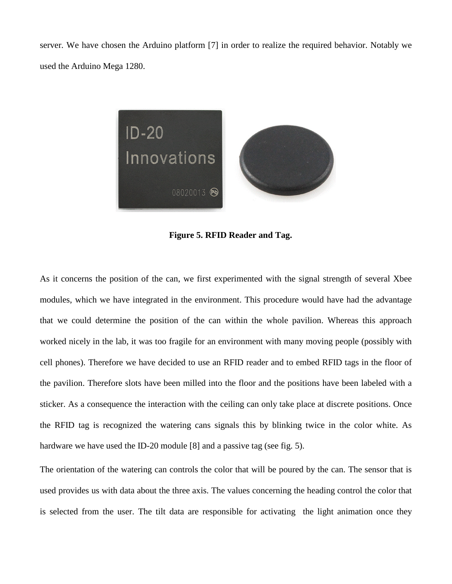server. We have chosen the Arduino platform [7] in order to realize the required behavior. Notably we used the Arduino Mega 1280.



**Figure 5. RFID Reader and Tag.**

As it concerns the position of the can, we first experimented with the signal strength of several Xbee modules, which we have integrated in the environment. This procedure would have had the advantage that we could determine the position of the can within the whole pavilion. Whereas this approach worked nicely in the lab, it was too fragile for an environment with many moving people (possibly with cell phones). Therefore we have decided to use an RFID reader and to embed RFID tags in the floor of the pavilion. Therefore slots have been milled into the floor and the positions have been labeled with a sticker. As a consequence the interaction with the ceiling can only take place at discrete positions. Once the RFID tag is recognized the watering cans signals this by blinking twice in the color white. As hardware we have used the ID-20 module [8] and a passive tag (see fig. 5).

The orientation of the watering can controls the color that will be poured by the can. The sensor that is used provides us with data about the three axis. The values concerning the heading control the color that is selected from the user. The tilt data are responsible for activating the light animation once they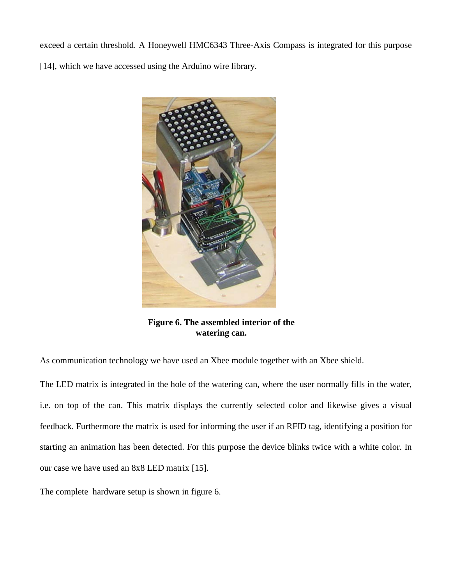exceed a certain threshold. A Honeywell HMC6343 Three-Axis Compass is integrated for this purpose [\[14\],](#page-17-0) which we have accessed using the Arduino wire library.



**Figure 6. The assembled interior of the watering can.**

As communication technology we have used an Xbee module together with an Xbee shield.

The LED matrix is integrated in the hole of the watering can, where the user normally fills in the water, i.e. on top of the can. This matrix displays the currently selected color and likewise gives a visual feedback. Furthermore the matrix is used for informing the user if an RFID tag, identifying a position for starting an animation has been detected. For this purpose the device blinks twice with a white color. In our case we have used an 8x8 LED matrix [\[15\].](#page-17-1)

The complete hardware setup is shown in figure 6.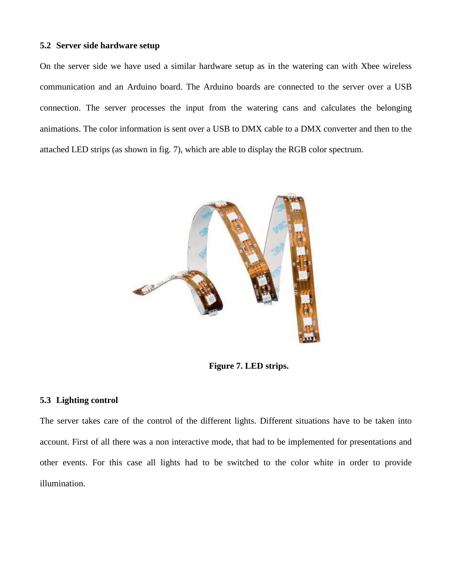# **5.2 Server side hardware setup**

On the server side we have used a similar hardware setup as in the watering can with Xbee wireless communication and an Arduino board. The Arduino boards are connected to the server over a USB connection. The server processes the input from the watering cans and calculates the belonging animations. The color information is sent over a USB to DMX cable to a DMX converter and then to the attached LED strips (as shown in fig. 7), which are able to display the RGB color spectrum.



**Figure 7. LED strips.**

# **5.3 Lighting control**

The server takes care of the control of the different lights. Different situations have to be taken into account. First of all there was a non interactive mode, that had to be implemented for presentations and other events. For this case all lights had to be switched to the color white in order to provide illumination.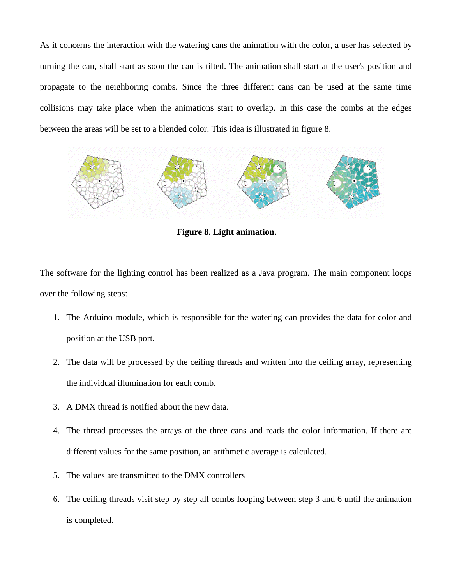As it concerns the interaction with the watering cans the animation with the color, a user has selected by turning the can, shall start as soon the can is tilted. The animation shall start at the user's position and propagate to the neighboring combs. Since the three different cans can be used at the same time collisions may take place when the animations start to overlap. In this case the combs at the edges between the areas will be set to a blended color. This idea is illustrated in figure 8.



**Figure 8. Light animation.**

The software for the lighting control has been realized as a Java program. The main component loops over the following steps:

- 1. The Arduino module, which is responsible for the watering can provides the data for color and position at the USB port.
- 2. The data will be processed by the ceiling threads and written into the ceiling array, representing the individual illumination for each comb.
- 3. A DMX thread is notified about the new data.
- 4. The thread processes the arrays of the three cans and reads the color information. If there are different values for the same position, an arithmetic average is calculated.
- 5. The values are transmitted to the DMX controllers
- 6. The ceiling threads visit step by step all combs looping between step 3 and 6 until the animation is completed.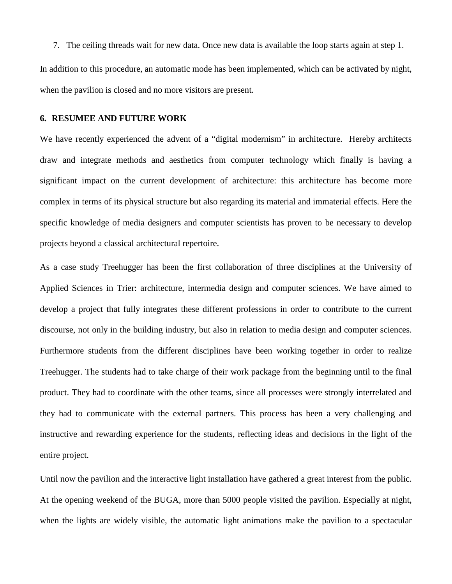7. The ceiling threads wait for new data. Once new data is available the loop starts again at step 1. In addition to this procedure, an automatic mode has been implemented, which can be activated by night, when the pavilion is closed and no more visitors are present.

### **6. RESUMEE AND FUTURE WORK**

We have recently experienced the advent of a "digital modernism" in architecture. Hereby architects draw and integrate methods and aesthetics from computer technology which finally is having a significant impact on the current development of architecture: this architecture has become more complex in terms of its physical structure but also regarding its material and immaterial effects. Here the specific knowledge of media designers and computer scientists has proven to be necessary to develop projects beyond a classical architectural repertoire.

As a case study Treehugger has been the first collaboration of three disciplines at the University of Applied Sciences in Trier: architecture, intermedia design and computer sciences. We have aimed to develop a project that fully integrates these different professions in order to contribute to the current discourse, not only in the building industry, but also in relation to media design and computer sciences. Furthermore students from the different disciplines have been working together in order to realize Treehugger. The students had to take charge of their work package from the beginning until to the final product. They had to coordinate with the other teams, since all processes were strongly interrelated and they had to communicate with the external partners. This process has been a very challenging and instructive and rewarding experience for the students, reflecting ideas and decisions in the light of the entire project.

Until now the pavilion and the interactive light installation have gathered a great interest from the public. At the opening weekend of the BUGA, more than 5000 people visited the pavilion. Especially at night, when the lights are widely visible, the automatic light animations make the pavilion to a spectacular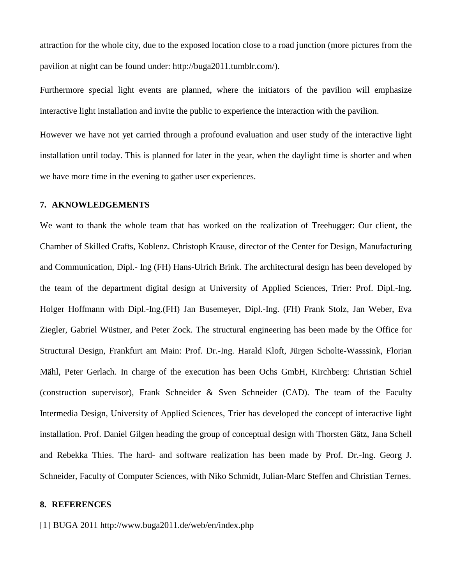attraction for the whole city, due to the exposed location close to a road junction (more pictures from the pavilion at night can be found under: http://buga2011.tumblr.com/).

Furthermore special light events are planned, where the initiators of the pavilion will emphasize interactive light installation and invite the public to experience the interaction with the pavilion.

However we have not yet carried through a profound evaluation and user study of the interactive light installation until today. This is planned for later in the year, when the daylight time is shorter and when we have more time in the evening to gather user experiences.

#### **7. AKNOWLEDGEMENTS**

We want to thank the whole team that has worked on the realization of Treehugger: Our client, the Chamber of Skilled Crafts, Koblenz. Christoph Krause, director of the Center for Design, Manufacturing and Communication, Dipl.- Ing (FH) Hans-Ulrich Brink. The architectural design has been developed by the team of the department digital design at University of Applied Sciences, Trier: Prof. Dipl.-Ing. Holger Hoffmann with Dipl.-Ing.(FH) Jan Busemeyer, Dipl.-Ing. (FH) Frank Stolz, Jan Weber, Eva Ziegler, Gabriel Wüstner, and Peter Zock. The structural engineering has been made by the Office for Structural Design, Frankfurt am Main: Prof. Dr.-Ing. Harald Kloft, Jürgen Scholte-Wasssink, Florian Mähl, Peter Gerlach. In charge of the execution has been Ochs GmbH, Kirchberg: Christian Schiel (construction supervisor), Frank Schneider & Sven Schneider (CAD). The team of the Faculty Intermedia Design, University of Applied Sciences, Trier has developed the concept of interactive light installation. Prof. Daniel Gilgen heading the group of conceptual design with Thorsten Gätz, Jana Schell and Rebekka Thies. The hard- and software realization has been made by Prof. Dr.-Ing. Georg J. Schneider, Faculty of Computer Sciences, with Niko Schmidt, Julian-Marc Steffen and Christian Ternes.

# **8. REFERENCES**

<span id="page-15-0"></span>[1] BUGA 2011 http://www.buga2011.de/web/en/index.php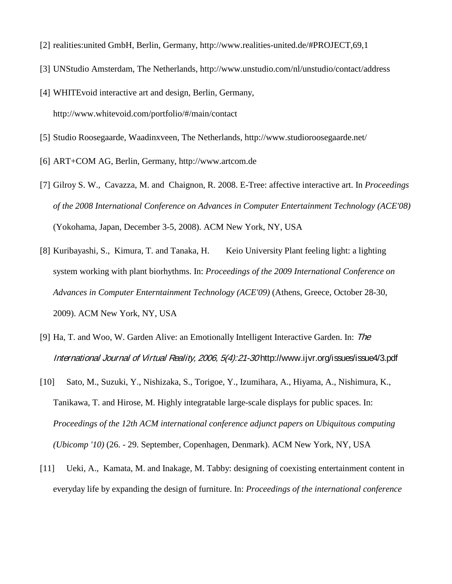- <span id="page-16-0"></span>[2] realities:united GmbH, Berlin, Germany, http://www.realities-united.de/#PROJECT,69,1
- <span id="page-16-1"></span>[3] UNStudio Amsterdam, The Netherlands, http://www.unstudio.com/nl/unstudio/contact/address
- <span id="page-16-2"></span>[4] WHITEvoid interactive art and design, Berlin, Germany, http://www.whitevoid.com/portfolio/#/main/contact
- <span id="page-16-3"></span>[5] Studio Roosegaarde, Waadinxveen, The Netherlands, http://www.studioroosegaarde.net/
- <span id="page-16-4"></span>[6] ART+COM AG, Berlin, Germany, http://www.artcom.de
- <span id="page-16-5"></span>[7] Gilroy S. W., Cavazza, M. and Chaignon, R. 2008. E-Tree: affective interactive art. In *Proceedings of the 2008 International Conference on Advances in Computer Entertainment Technology (ACE'08)* (Yokohama, Japan, December 3-5, 2008). ACM New York, NY, USA
- <span id="page-16-6"></span>[8] Kuribayashi, S., Kimura, T. and Tanaka, H. Keio University Plant feeling light: a lighting system working with plant biorhythms. In: *Proceedings of the 2009 International Conference on Advances in Computer Enterntainment Technology (ACE'09)* (Athens, Greece, October 28-30, 2009). ACM New York, NY, USA
- <span id="page-16-7"></span>[9] Ha, T. and Woo, W. Garden Alive: an Emotionally Intelligent Interactive Garden. In: The International Journal of Virtual Reality, 2006, 5(4):21-30 http://www.ijvr.org/issues/issue4/3.pdf
- <span id="page-16-8"></span>[10] Sato, M., Suzuki, Y., Nishizaka, S., Torigoe, Y., Izumihara, A., Hiyama, A., Nishimura, K., Tanikawa, T. and Hirose, M. Highly integratable large-scale displays for public spaces. In: *Proceedings of the 12th ACM international conference adjunct papers on Ubiquitous computing (Ubicomp '10)* (26. - 29. September, Copenhagen, Denmark). ACM New York, NY, USA
- <span id="page-16-9"></span>[11] Ueki, A., Kamata, M. and Inakage, M. Tabby: designing of coexisting entertainment content in everyday life by expanding the design of furniture. In: *Proceedings of the international conference*